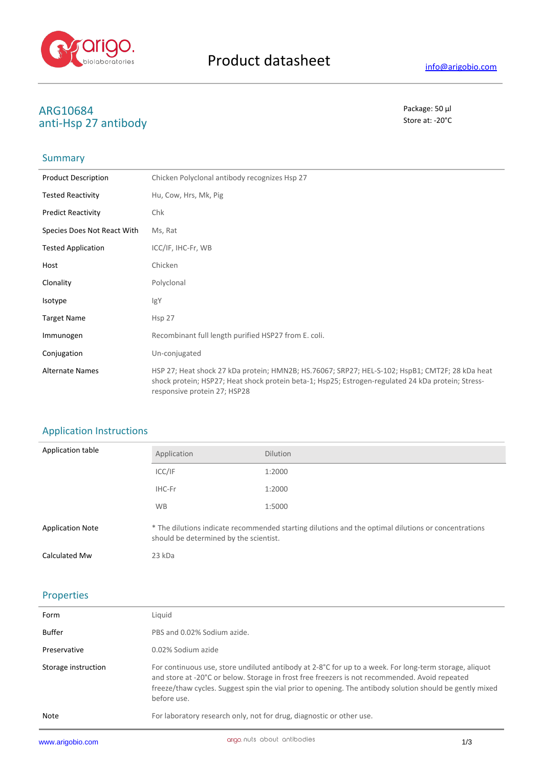

# **ARG10684** Package: 50 μl<br> **ARG10684** Package: 50 μl<br> **ARG10684** Package: 50 μl anti-Hsp 27 antibody

## **Summary**

| <b>Product Description</b>  | Chicken Polyclonal antibody recognizes Hsp 27                                                                                                                                                                                         |
|-----------------------------|---------------------------------------------------------------------------------------------------------------------------------------------------------------------------------------------------------------------------------------|
| <b>Tested Reactivity</b>    | Hu, Cow, Hrs, Mk, Pig                                                                                                                                                                                                                 |
| <b>Predict Reactivity</b>   | Chk                                                                                                                                                                                                                                   |
| Species Does Not React With | Ms, Rat                                                                                                                                                                                                                               |
| <b>Tested Application</b>   | ICC/IF, IHC-Fr, WB                                                                                                                                                                                                                    |
| Host                        | Chicken                                                                                                                                                                                                                               |
| Clonality                   | Polyclonal                                                                                                                                                                                                                            |
| Isotype                     | IgY                                                                                                                                                                                                                                   |
| <b>Target Name</b>          | Hsp <sub>27</sub>                                                                                                                                                                                                                     |
| Immunogen                   | Recombinant full length purified HSP27 from E. coli.                                                                                                                                                                                  |
| Conjugation                 | Un-conjugated                                                                                                                                                                                                                         |
| <b>Alternate Names</b>      | HSP 27; Heat shock 27 kDa protein; HMN2B; HS.76067; SRP27; HEL-S-102; HspB1; CMT2F; 28 kDa heat<br>shock protein; HSP27; Heat shock protein beta-1; Hsp25; Estrogen-regulated 24 kDa protein; Stress-<br>responsive protein 27; HSP28 |

# Application Instructions

| Application table       | Application                                                                                                                                   | <b>Dilution</b> |
|-------------------------|-----------------------------------------------------------------------------------------------------------------------------------------------|-----------------|
|                         | ICC/IF                                                                                                                                        | 1:2000          |
|                         | IHC-Fr                                                                                                                                        | 1:2000          |
|                         | <b>WB</b>                                                                                                                                     | 1:5000          |
| <b>Application Note</b> | * The dilutions indicate recommended starting dilutions and the optimal dilutions or concentrations<br>should be determined by the scientist. |                 |
| Calculated Mw           | 23 kDa                                                                                                                                        |                 |

# Properties

| www.arigobio.com    | ariao nuts about antibodies<br>1/3                                                                                                                                                                                                                                                                                                  |
|---------------------|-------------------------------------------------------------------------------------------------------------------------------------------------------------------------------------------------------------------------------------------------------------------------------------------------------------------------------------|
| Note                | For laboratory research only, not for drug, diagnostic or other use.                                                                                                                                                                                                                                                                |
| Storage instruction | For continuous use, store undiluted antibody at 2-8°C for up to a week. For long-term storage, aliquot<br>and store at -20°C or below. Storage in frost free freezers is not recommended. Avoid repeated<br>freeze/thaw cycles. Suggest spin the vial prior to opening. The antibody solution should be gently mixed<br>before use. |
| Preservative        | 0.02% Sodium azide                                                                                                                                                                                                                                                                                                                  |
| Buffer              | PBS and 0.02% Sodium azide.                                                                                                                                                                                                                                                                                                         |
| Form                | Liquid                                                                                                                                                                                                                                                                                                                              |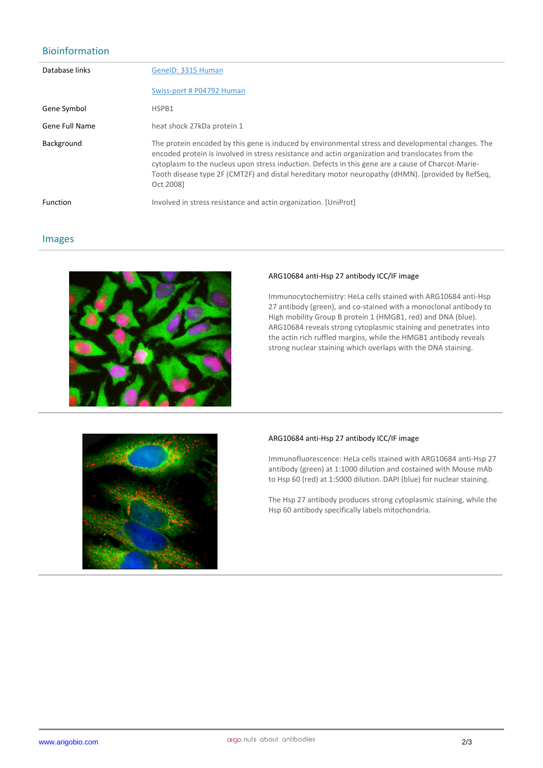# Bioinformation

| Database links  | GenelD: 3315 Human                                                                                                                                                                                                                                                                                                                                                                                                              |
|-----------------|---------------------------------------------------------------------------------------------------------------------------------------------------------------------------------------------------------------------------------------------------------------------------------------------------------------------------------------------------------------------------------------------------------------------------------|
|                 | Swiss-port # P04792 Human                                                                                                                                                                                                                                                                                                                                                                                                       |
| Gene Symbol     | HSPB1                                                                                                                                                                                                                                                                                                                                                                                                                           |
| Gene Full Name  | heat shock 27kDa protein 1                                                                                                                                                                                                                                                                                                                                                                                                      |
| Background      | The protein encoded by this gene is induced by environmental stress and developmental changes. The<br>encoded protein is involved in stress resistance and actin organization and translocates from the<br>cytoplasm to the nucleus upon stress induction. Defects in this gene are a cause of Charcot-Marie-<br>Tooth disease type 2F (CMT2F) and distal hereditary motor neuropathy (dHMN). [provided by RefSeg,<br>Oct 20081 |
| <b>Function</b> | Involved in stress resistance and actin organization. [UniProt]                                                                                                                                                                                                                                                                                                                                                                 |

## Images



#### **ARG10684 anti-Hsp 27 antibody ICC/IF image**

Immunocytochemistry: HeLa cells stained with ARG10684 anti-Hsp 27 antibody (green), and co-stained with a monoclonal antibody to High mobility Group B protein 1 (HMGB1, red) and DNA (blue). ARG10684 reveals strong cytoplasmic staining and penetrates into the actin rich ruffled margins, while the HMGB1 antibody reveals strong nuclear staining which overlaps with the DNA staining.



## **ARG10684 anti-Hsp 27 antibody ICC/IF image**

Immunofluorescence: HeLa cells stained with ARG10684 anti-Hsp 27 antibody (green) at 1:1000 dilution and costained with Mouse mAb to Hsp 60 (red) at 1:5000 dilution. DAPI (blue) for nuclear staining.

The Hsp 27 antibody produces strong cytoplasmic staining, while the Hsp 60 antibody specifically labels mitochondria.